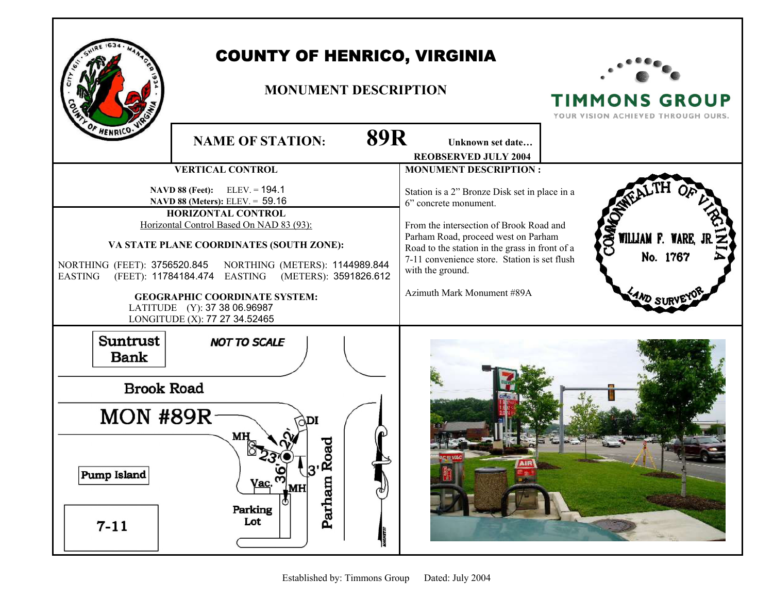

## COUNTY OF HENRICO, VIRGINIA

## **MONUMENT DESCRIPTION**



**TIMMONS GROUP**